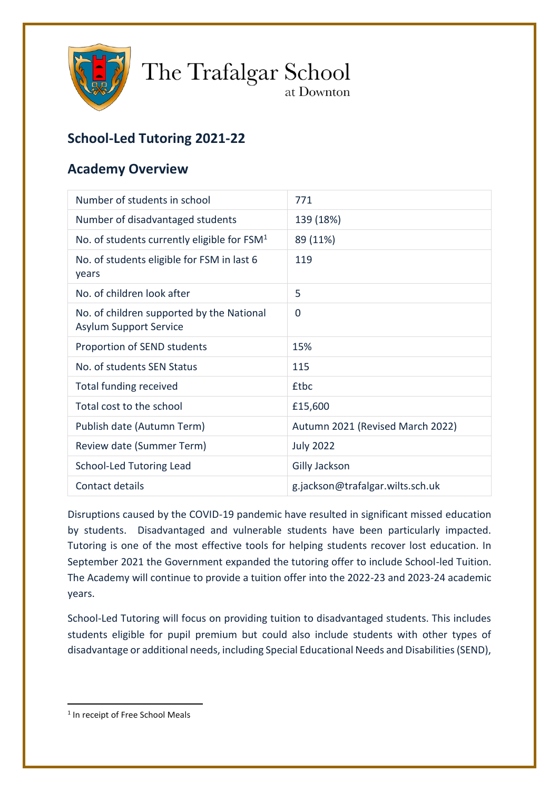

The Trafalgar School at Downton

# **School-Led Tutoring 2021-22**

## **Academy Overview**

| Number of students in school                                               | 771                              |
|----------------------------------------------------------------------------|----------------------------------|
| Number of disadvantaged students                                           | 139 (18%)                        |
| No. of students currently eligible for $FSM1$                              | 89 (11%)                         |
| No. of students eligible for FSM in last 6<br>years                        | 119                              |
| No. of children look after                                                 | 5                                |
| No. of children supported by the National<br><b>Asylum Support Service</b> | $\mathbf 0$                      |
| Proportion of SEND students                                                | 15%                              |
| No. of students SEN Status                                                 | 115                              |
| <b>Total funding received</b>                                              | <b>£tbc</b>                      |
| Total cost to the school                                                   | £15,600                          |
| Publish date (Autumn Term)                                                 | Autumn 2021 (Revised March 2022) |
| Review date (Summer Term)                                                  | <b>July 2022</b>                 |
| School-Led Tutoring Lead                                                   | <b>Gilly Jackson</b>             |
| Contact details                                                            | g.jackson@trafalgar.wilts.sch.uk |
|                                                                            |                                  |

Disruptions caused by the COVID-19 pandemic have resulted in significant missed education by students. Disadvantaged and vulnerable students have been particularly impacted. Tutoring is one of the most effective tools for helping students recover lost education. In September 2021 the Government expanded the tutoring offer to include School-led Tuition. The Academy will continue to provide a tuition offer into the 2022-23 and 2023-24 academic years.

School-Led Tutoring will focus on providing tuition to disadvantaged students. This includes students eligible for pupil premium but could also include students with other types of disadvantage or additional needs, including Special Educational Needs and Disabilities (SEND),

**.** 

<sup>&</sup>lt;sup>1</sup> In receipt of Free School Meals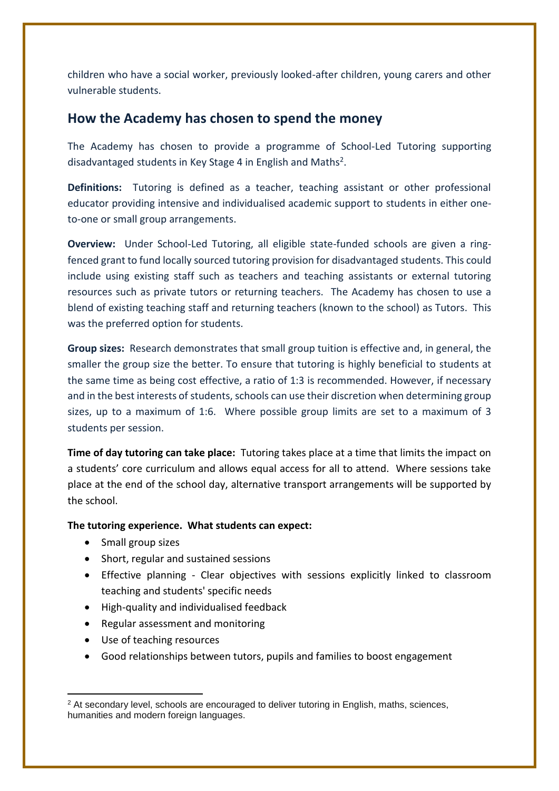children who have a social worker, previously looked-after children, young carers and other vulnerable students.

### **How the Academy has chosen to spend the money**

The Academy has chosen to provide a programme of School-Led Tutoring supporting disadvantaged students in Key Stage 4 in English and Maths<sup>2</sup>.

**Definitions:** Tutoring is defined as a teacher, teaching assistant or other professional educator providing intensive and individualised academic support to students in either oneto-one or small group arrangements.

**Overview:** Under School-Led Tutoring, all eligible state-funded schools are given a ringfenced grant to fund locally sourced tutoring provision for disadvantaged students. This could include using existing staff such as teachers and teaching assistants or external tutoring resources such as private tutors or returning teachers. The Academy has chosen to use a blend of existing teaching staff and returning teachers (known to the school) as Tutors. This was the preferred option for students.

**Group sizes:** Research demonstrates that small group tuition is effective and, in general, the smaller the group size the better. To ensure that tutoring is highly beneficial to students at the same time as being cost effective, a ratio of 1:3 is recommended. However, if necessary and in the best interests of students, schools can use their discretion when determining group sizes, up to a maximum of 1:6. Where possible group limits are set to a maximum of 3 students per session.

**Time of day tutoring can take place:** Tutoring takes place at a time that limits the impact on a students' core curriculum and allows equal access for all to attend. Where sessions take place at the end of the school day, alternative transport arrangements will be supported by the school.

### **The tutoring experience. What students can expect:**

- Small group sizes
- Short, regular and sustained sessions
- Effective planning Clear objectives with sessions explicitly linked to classroom teaching and students' specific needs
- High-quality and individualised feedback
- Regular assessment and monitoring
- Use of teaching resources
- Good relationships between tutors, pupils and families to boost engagement

<sup>1</sup> <sup>2</sup> At secondary level, schools are encouraged to deliver tutoring in English, maths, sciences, humanities and modern foreign languages.